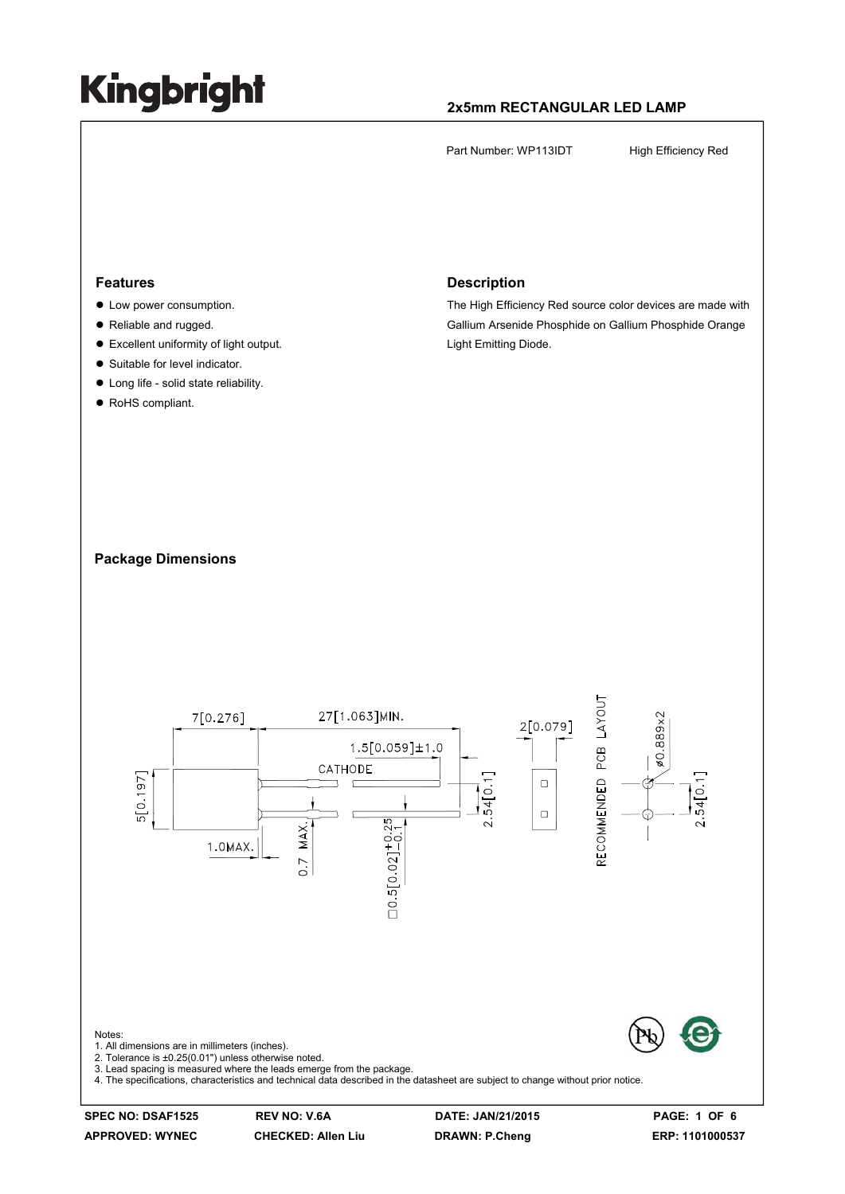#### **2x5mm RECTANGULAR LED LAMP**

Part Number: WP113IDT High Efficiency Red

#### **Features**

- Low power consumption.
- Reliable and rugged.
- $\bullet$  Excellent uniformity of light output.
- Suitable for level indicator.
- $\bullet$  Long life solid state reliability.
- RoHS compliant.

#### **Description**

The High Efficiency Red source color devices are made with Gallium Arsenide Phosphide on Gallium Phosphide Orange Light Emitting Diode.

#### **Package Dimensions**

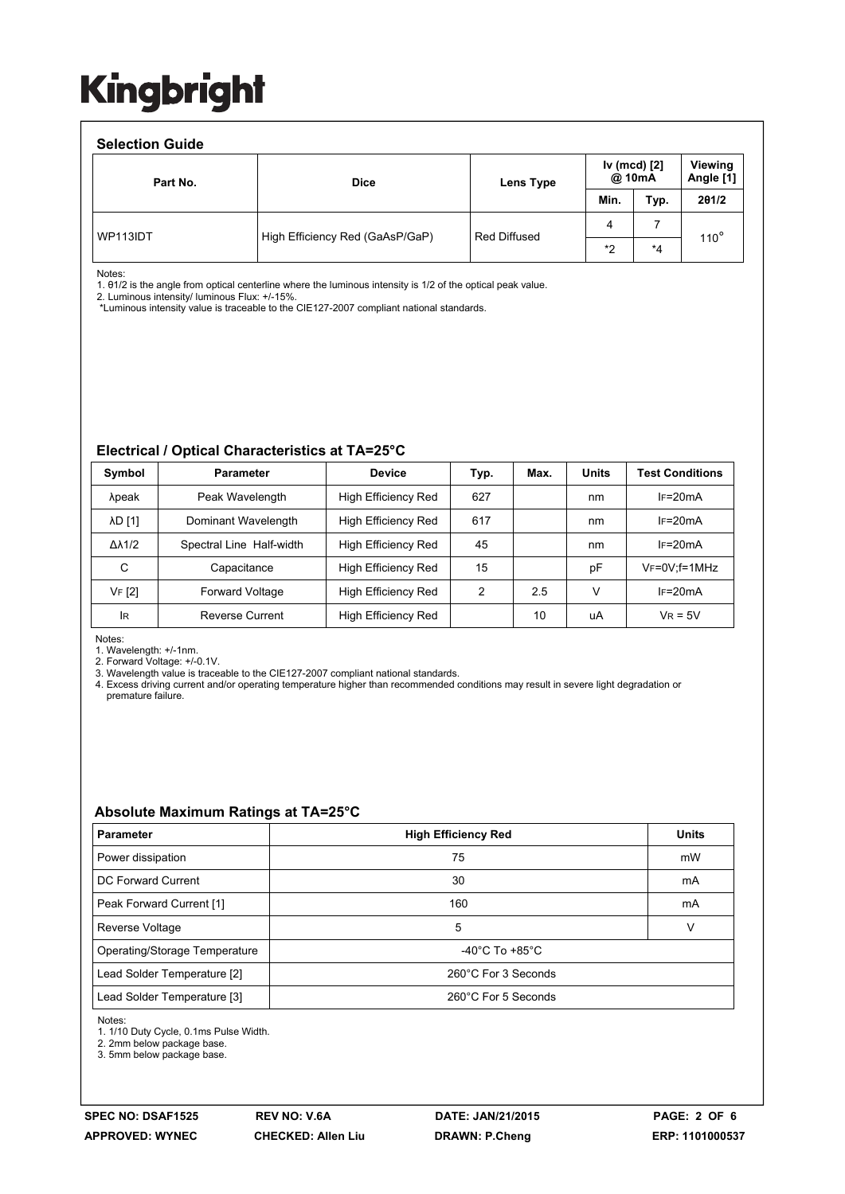#### **Selection Guide**

| <b>SEIECHOH QUIDE</b> |                                 |              |                        |      |                      |  |  |  |  |  |
|-----------------------|---------------------------------|--------------|------------------------|------|----------------------|--|--|--|--|--|
| Part No.              | <b>Dice</b>                     | Lens Type    | Iv (mcd) [2]<br>@ 10mA |      | Viewing<br>Angle [1] |  |  |  |  |  |
|                       |                                 |              | Min.                   | Typ. | 201/2                |  |  |  |  |  |
| WP113IDT              | High Efficiency Red (GaAsP/GaP) | Red Diffused | 4                      |      | $110^\circ$          |  |  |  |  |  |
|                       |                                 |              | *2                     | *4   |                      |  |  |  |  |  |

Notes:

1. θ1/2 is the angle from optical centerline where the luminous intensity is 1/2 of the optical peak value.

2. Luminous intensity/ luminous Flux: +/-15%.

\*Luminous intensity value is traceable to the CIE127-2007 compliant national standards.

#### **Electrical / Optical Characteristics at TA=25°C**

| Symbol              | <b>Parameter</b>         | <b>Device</b>              | Typ.          | Max. | <b>Units</b> | <b>Test Conditions</b> |
|---------------------|--------------------------|----------------------------|---------------|------|--------------|------------------------|
| λpeak               | Peak Wavelength          | High Efficiency Red        | 627           |      | nm           | $IF=20mA$              |
| <b>AD [1]</b>       | Dominant Wavelength      | <b>High Efficiency Red</b> | 617           |      | nm           | $IF=20mA$              |
| $\Delta\lambda$ 1/2 | Spectral Line Half-width | <b>High Efficiency Red</b> | 45            |      | nm           | $IF=20mA$              |
| C                   | Capacitance              | High Efficiency Red        | 15            |      | pF           | $V_F = 0V$ ; f = 1MHz  |
| VF [2]              | <b>Forward Voltage</b>   | High Efficiency Red        | $\mathcal{P}$ | 2.5  | V            | $IF=20mA$              |
| <b>IR</b>           | Reverse Current          | High Efficiency Red        |               | 10   | uA           | $V_R = 5V$             |

Notes:

1. Wavelength: +/-1nm.

2. Forward Voltage: +/-0.1V.

3. Wavelength value is traceable to the CIE127-2007 compliant national standards.<br>4. Excess driving current and/or operating temperature higher than recommended conditions may result in severe light degradation or premature failure.

#### **Absolute Maximum Ratings at TA=25°C**

| <b>Parameter</b>              | <b>High Efficiency Red</b>         | <b>Units</b> |  |
|-------------------------------|------------------------------------|--------------|--|
| Power dissipation             | 75                                 | mW           |  |
| DC Forward Current            | 30                                 | mA           |  |
| Peak Forward Current [1]      | 160                                | mA           |  |
| Reverse Voltage               | 5                                  | v            |  |
| Operating/Storage Temperature | $-40^{\circ}$ C To $+85^{\circ}$ C |              |  |
| Lead Solder Temperature [2]   | 260°C For 3 Seconds                |              |  |
| Lead Solder Temperature [3]   | 260°C For 5 Seconds                |              |  |

Notes:

1. 1/10 Duty Cycle, 0.1ms Pulse Width.

2. 2mm below package base.

3. 5mm below package base.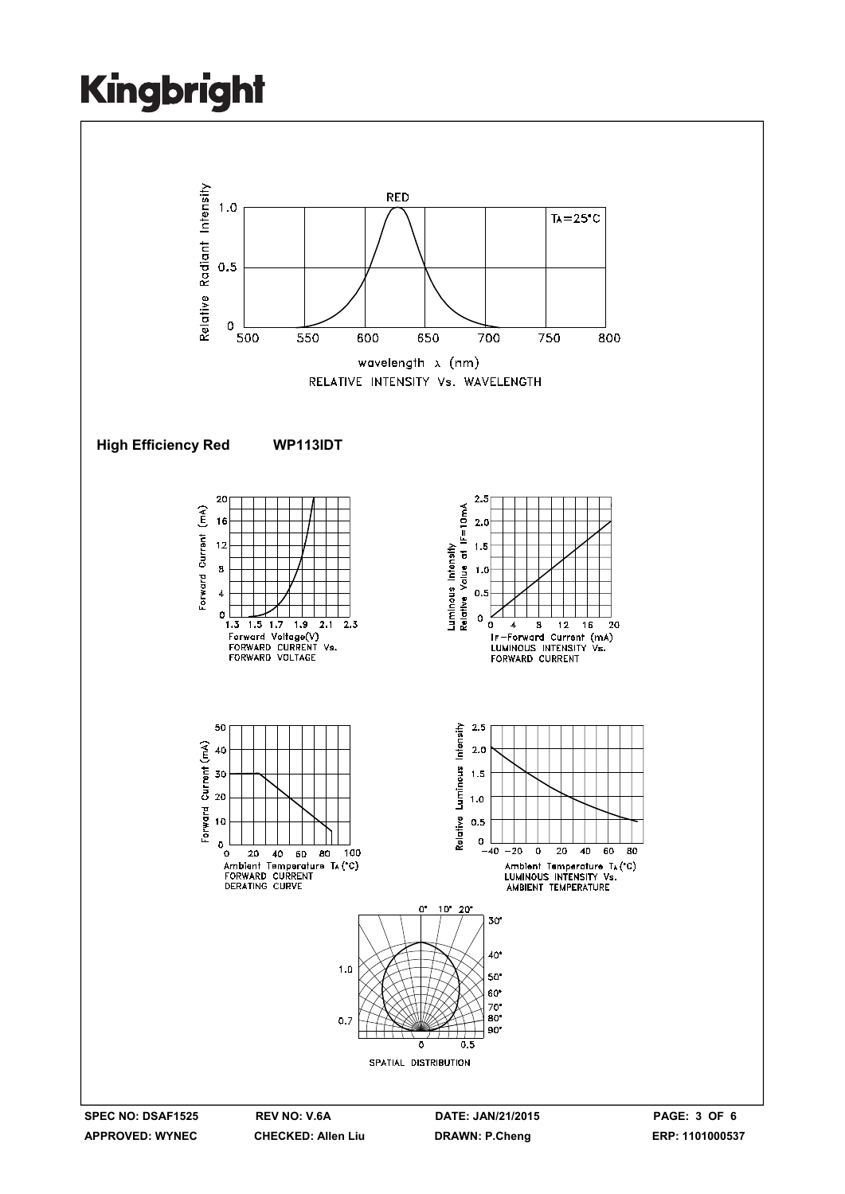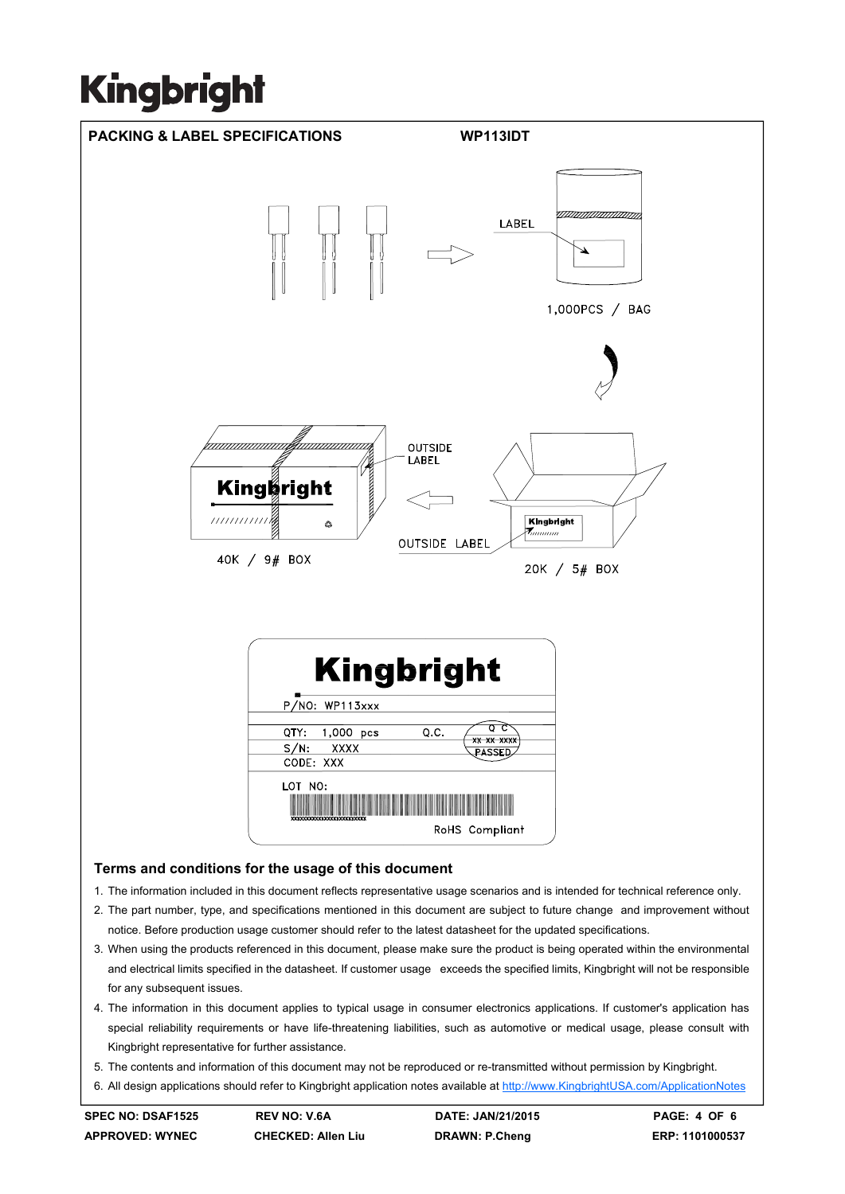

- 5. The contents and information of this document may not be reproduced or re-transmitted without permission by Kingbright.
- 6. All design applications should refer to Kingbright application notes available at http://www.KingbrightUSA.com/ApplicationNotes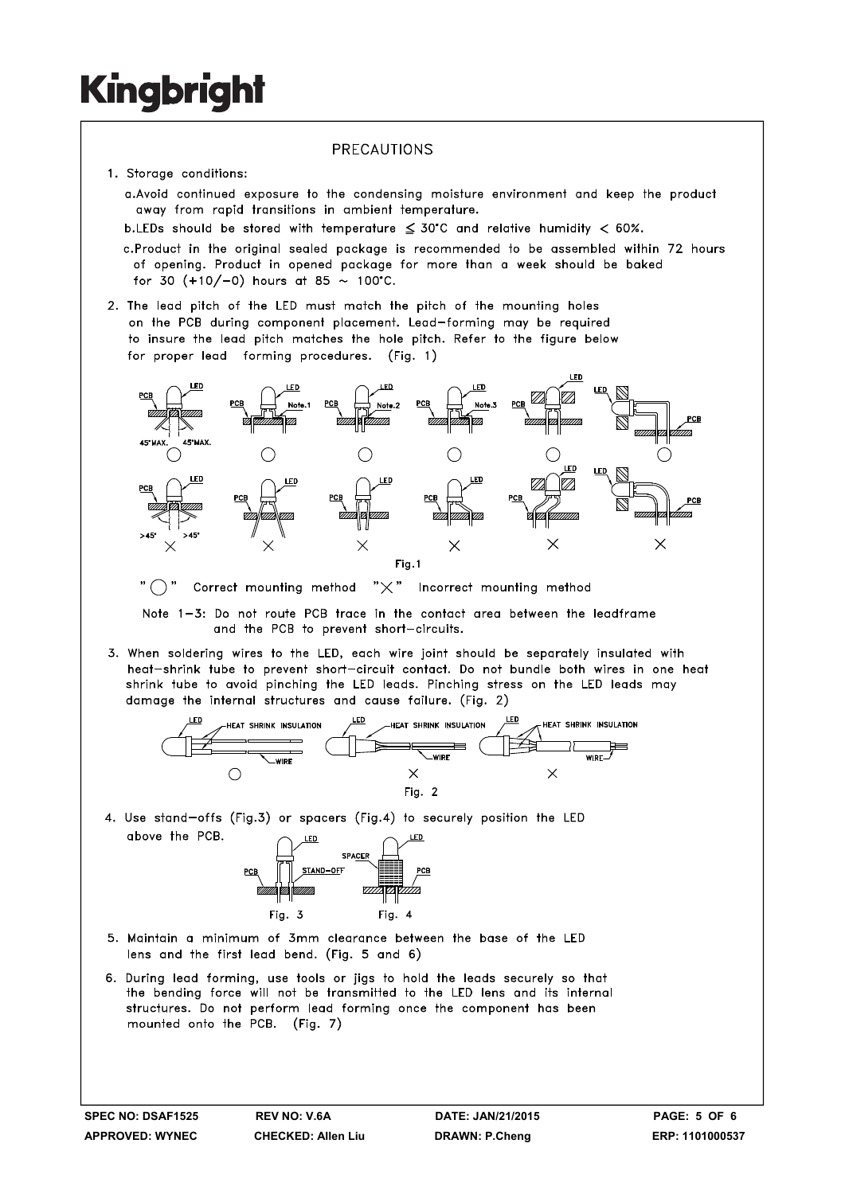#### PRECAUTIONS

- 1. Storage conditions:
	- a. Avoid continued exposure to the condensing moisture environment and keep the product away from rapid transitions in ambient temperature.
	- b.LEDs should be stored with temperature  $\leq 30^{\circ}$ C and relative humidity < 60%.
	- c.Product in the original sealed package is recommended to be assembled within 72 hours of opening. Product in opened package for more than a week should be baked for 30  $(+10/-0)$  hours at 85 ~ 100°C.
- 2. The lead pitch of the LED must match the pitch of the mounting holes on the PCB during component placement. Lead-forming may be required to insure the lead pitch matches the hole pitch. Refer to the figure below for proper lead forming procedures. (Fig. 1)



"  $\bigcap$  " Correct mounting method " $\times$ " Incorrect mounting method

Note 1-3: Do not route PCB trace in the contact area between the leadframe and the PCB to prevent short-circuits.

3. When soldering wires to the LED, each wire joint should be separately insulated with heat-shrink tube to prevent short-circuit contact. Do not bundle both wires in one heat shrink tube to avoid pinching the LED leads. Pinching stress on the LED leads may damage the internal structures and cause failure. (Fig. 2)



4. Use stand-offs (Fig.3) or spacers (Fig.4) to securely position the LED above the PCB.



- 5. Maintain a minimum of 3mm clearance between the base of the LED lens and the first lead bend. (Fig. 5 and 6)
- 6. During lead forming, use tools or jigs to hold the leads securely so that the bending force will not be transmitted to the LED lens and its internal structures. Do not perform lead forming once the component has been mounted onto the PCB. (Fig. 7)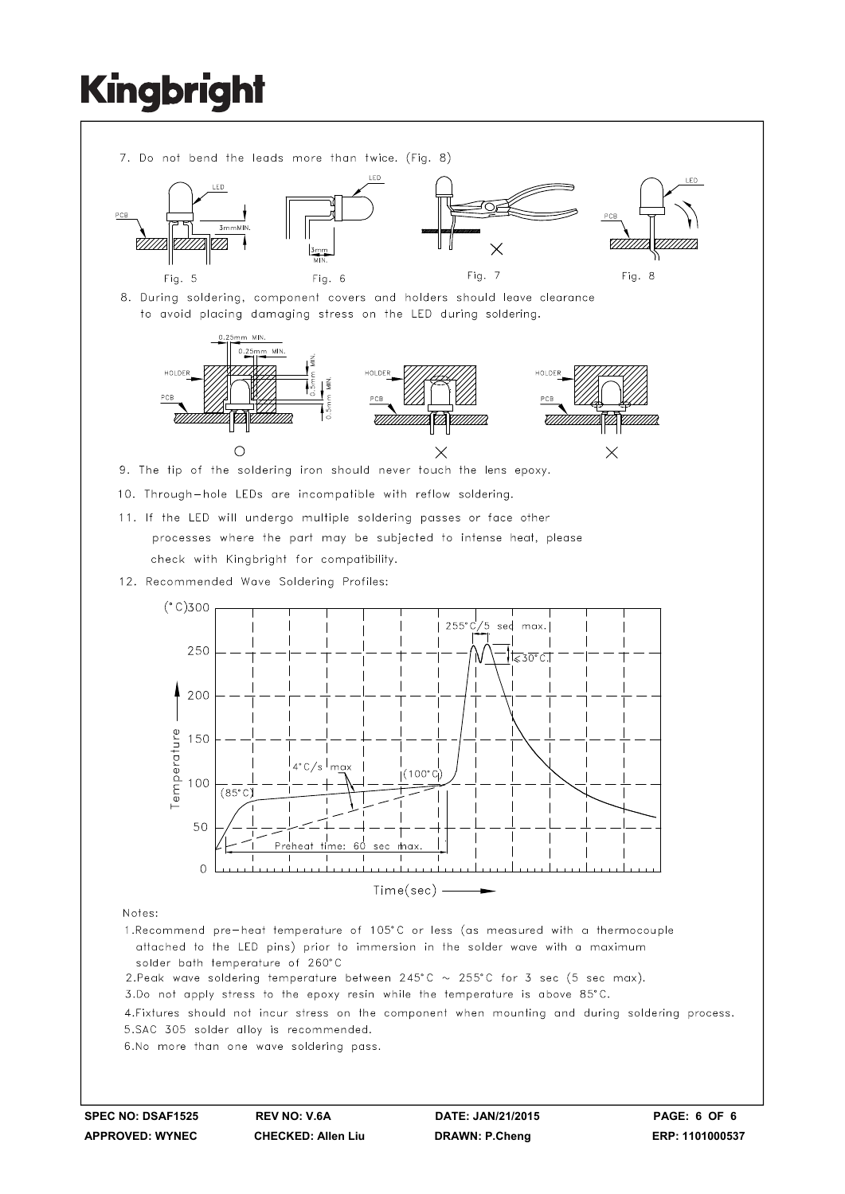

- solder bath temperature of 260°C
- 2. Peak wave soldering temperature between 245°C  $\sim$  255°C for 3 sec (5 sec max).
- 3.Do not apply stress to the epoxy resin while the temperature is above 85°C.

4. Fixtures should not incur stress on the component when mounting and during soldering process. 5.SAC 305 solder alloy is recommended.

6.No more than one wave soldering pass.